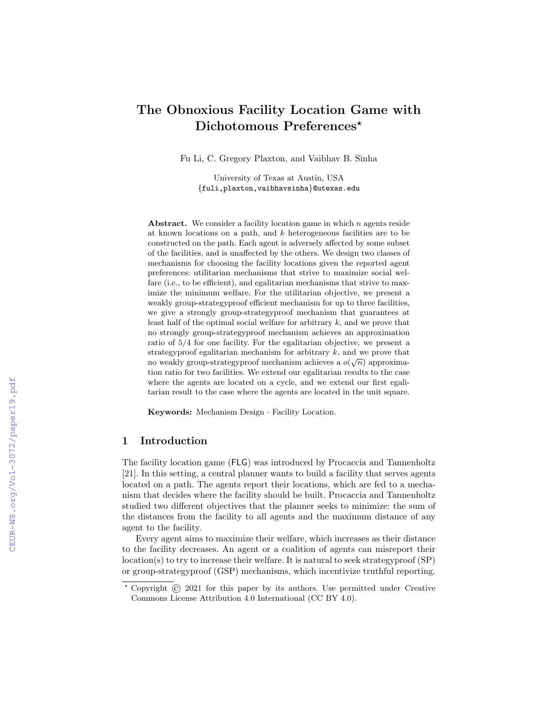# The Obnoxious Facility Location Game with Dichotomous Preferences<sup>\*</sup>

Fu Li, C. Gregory Plaxton, and Vaibhav B. Sinha

University of Texas at Austin, USA {fuli,plaxton,vaibhavsinha}@utexas.edu

Abstract. We consider a facility location game in which  $n$  agents reside at known locations on a path, and  $k$  heterogeneous facilities are to be constructed on the path. Each agent is adversely affected by some subset of the facilities, and is unaffected by the others. We design two classes of mechanisms for choosing the facility locations given the reported agent preferences: utilitarian mechanisms that strive to maximize social welfare (i.e., to be efficient), and egalitarian mechanisms that strive to maximize the minimum welfare. For the utilitarian objective, we present a weakly group-strategyproof efficient mechanism for up to three facilities, we give a strongly group-strategyproof mechanism that guarantees at least half of the optimal social welfare for arbitrary  $k$ , and we prove that no strongly group-strategyproof mechanism achieves an approximation ratio of 5/4 for one facility. For the egalitarian objective, we present a strategyproof egalitarian mechanism for arbitrary  $k$ , and we prove that no weakly group-strategyproof mechanism achieves a  $o(\sqrt{n})$  approximation ratio for two facilities. We extend our egalitarian results to the case where the agents are located on a cycle, and we extend our first egalitarian result to the case where the agents are located in the unit square.

Keywords: Mechanism Design · Facility Location.

# 1 Introduction

The facility location game (FLG) was introduced by Procaccia and Tannenholtz [21]. In this setting, a central planner wants to build a facility that serves agents located on a path. The agents report their locations, which are fed to a mechanism that decides where the facility should be built. Procaccia and Tannenholtz studied two different objectives that the planner seeks to minimize: the sum of the distances from the facility to all agents and the maximum distance of any agent to the facility.

Every agent aims to maximize their welfare, which increases as their distance to the facility decreases. An agent or a coalition of agents can misreport their location(s) to try to increase their welfare. It is natural to seek strategyproof (SP) or group-strategyproof (GSP) mechanisms, which incentivize truthful reporting.

<sup>?</sup> Copyright © 2021 for this paper by its authors. Use permitted under Creative Commons License Attribution 4.0 International (CC BY 4.0).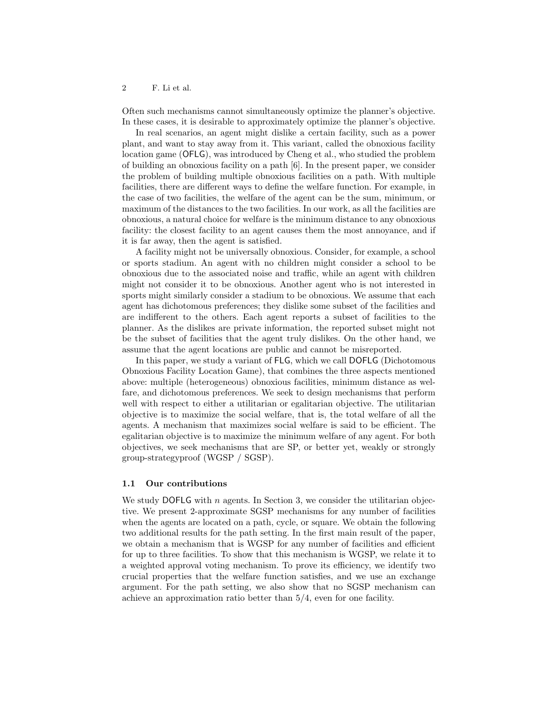Often such mechanisms cannot simultaneously optimize the planner's objective. In these cases, it is desirable to approximately optimize the planner's objective.

In real scenarios, an agent might dislike a certain facility, such as a power plant, and want to stay away from it. This variant, called the obnoxious facility location game (OFLG), was introduced by Cheng et al., who studied the problem of building an obnoxious facility on a path [6]. In the present paper, we consider the problem of building multiple obnoxious facilities on a path. With multiple facilities, there are different ways to define the welfare function. For example, in the case of two facilities, the welfare of the agent can be the sum, minimum, or maximum of the distances to the two facilities. In our work, as all the facilities are obnoxious, a natural choice for welfare is the minimum distance to any obnoxious facility: the closest facility to an agent causes them the most annoyance, and if it is far away, then the agent is satisfied.

A facility might not be universally obnoxious. Consider, for example, a school or sports stadium. An agent with no children might consider a school to be obnoxious due to the associated noise and traffic, while an agent with children might not consider it to be obnoxious. Another agent who is not interested in sports might similarly consider a stadium to be obnoxious. We assume that each agent has dichotomous preferences; they dislike some subset of the facilities and are indifferent to the others. Each agent reports a subset of facilities to the planner. As the dislikes are private information, the reported subset might not be the subset of facilities that the agent truly dislikes. On the other hand, we assume that the agent locations are public and cannot be misreported.

In this paper, we study a variant of FLG, which we call DOFLG (Dichotomous Obnoxious Facility Location Game), that combines the three aspects mentioned above: multiple (heterogeneous) obnoxious facilities, minimum distance as welfare, and dichotomous preferences. We seek to design mechanisms that perform well with respect to either a utilitarian or egalitarian objective. The utilitarian objective is to maximize the social welfare, that is, the total welfare of all the agents. A mechanism that maximizes social welfare is said to be efficient. The egalitarian objective is to maximize the minimum welfare of any agent. For both objectives, we seek mechanisms that are SP, or better yet, weakly or strongly group-strategyproof (WGSP / SGSP).

### 1.1 Our contributions

We study DOFLG with  $n$  agents. In Section 3, we consider the utilitarian objective. We present 2-approximate SGSP mechanisms for any number of facilities when the agents are located on a path, cycle, or square. We obtain the following two additional results for the path setting. In the first main result of the paper, we obtain a mechanism that is WGSP for any number of facilities and efficient for up to three facilities. To show that this mechanism is WGSP, we relate it to a weighted approval voting mechanism. To prove its efficiency, we identify two crucial properties that the welfare function satisfies, and we use an exchange argument. For the path setting, we also show that no SGSP mechanism can achieve an approximation ratio better than 5/4, even for one facility.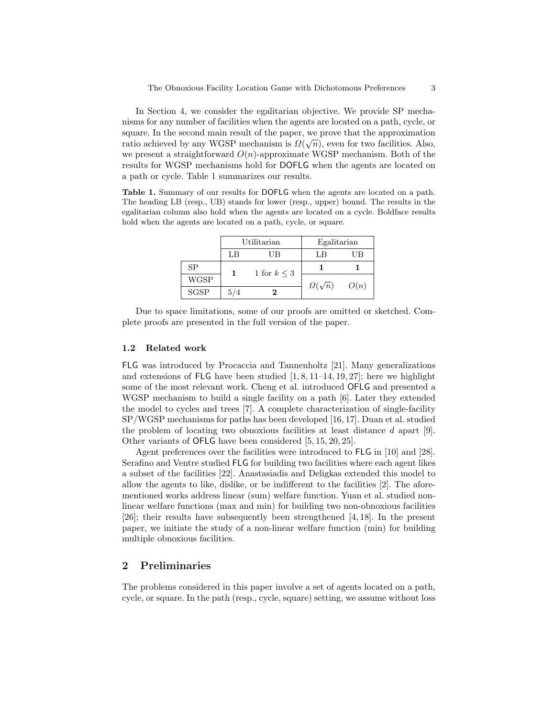In Section 4, we consider the egalitarian objective. We provide SP mechanisms for any number of facilities when the agents are located on a path, cycle, or square. In the second main result of the paper, we prove that the approximation ratio achieved by any WGSP mechanism is  $\Omega(\sqrt{n})$ , even for two facilities. Also, we present a straightforward  $O(n)$ -approximate WGSP mechanism. Both of the results for WGSP mechanisms hold for DOFLG when the agents are located on a path or cycle. Table 1 summarizes our results.

Table 1. Summary of our results for DOFLG when the agents are located on a path. The heading LB (resp., UB) stands for lower (resp., upper) bound. The results in the egalitarian column also hold when the agents are located on a cycle. Boldface results hold when the agents are located on a path, cycle, or square.

|             | Utilitarian |                  | Egalitarian        |      |
|-------------|-------------|------------------|--------------------|------|
|             | LB          | UВ               | LB                 | UB   |
| SP          |             | 1 for $k \leq 3$ |                    |      |
| <b>WGSP</b> |             |                  | $\Omega(\sqrt{n})$ | O(n) |
| <b>SGSP</b> | 5/4         |                  |                    |      |

Due to space limitations, some of our proofs are omitted or sketched. Complete proofs are presented in the full version of the paper.

#### 1.2 Related work

FLG was introduced by Procaccia and Tannenholtz [21]. Many generalizations and extensions of FLG have been studied  $[1, 8, 11-14, 19, 27]$ ; here we highlight some of the most relevant work. Cheng et al. introduced OFLG and presented a WGSP mechanism to build a single facility on a path [6]. Later they extended the model to cycles and trees [7]. A complete characterization of single-facility SP/WGSP mechanisms for paths has been developed [16, 17]. Duan et al. studied the problem of locating two obnoxious facilities at least distance d apart [9]. Other variants of OFLG have been considered [5, 15, 20, 25].

Agent preferences over the facilities were introduced to FLG in [10] and [28]. Serafino and Ventre studied FLG for building two facilities where each agent likes a subset of the facilities [22]. Anastasiadis and Deligkas extended this model to allow the agents to like, dislike, or be indifferent to the facilities [2]. The aforementioned works address linear (sum) welfare function. Yuan et al. studied nonlinear welfare functions (max and min) for building two non-obnoxious facilities [26]; their results have subsequently been strengthened [4, 18]. In the present paper, we initiate the study of a non-linear welfare function (min) for building multiple obnoxious facilities.

# 2 Preliminaries

The problems considered in this paper involve a set of agents located on a path, cycle, or square. In the path (resp., cycle, square) setting, we assume without loss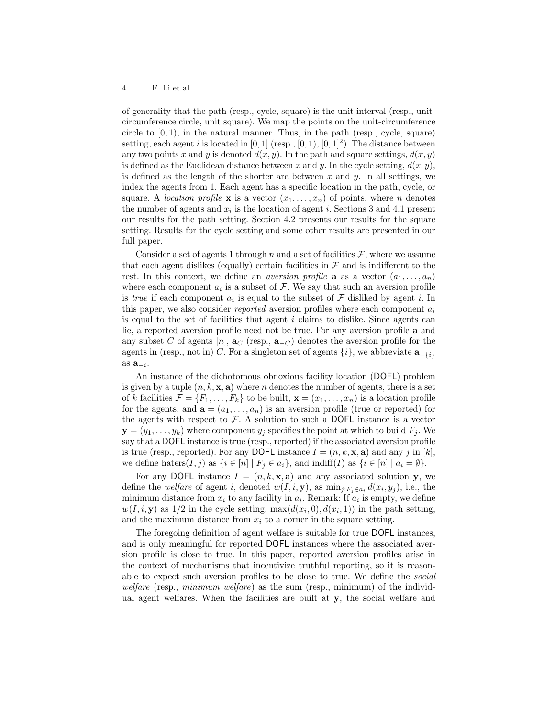of generality that the path (resp., cycle, square) is the unit interval (resp., unitcircumference circle, unit square). We map the points on the unit-circumference circle to  $[0, 1)$ , in the natural manner. Thus, in the path (resp., cycle, square) setting, each agent i is located in  $[0, 1]$  (resp.,  $[0, 1)$ ,  $[0, 1]^2$ ). The distance between any two points x and y is denoted  $d(x, y)$ . In the path and square settings,  $d(x, y)$ is defined as the Euclidean distance between x and y. In the cycle setting,  $d(x, y)$ , is defined as the length of the shorter arc between x and y. In all settings, we index the agents from 1. Each agent has a specific location in the path, cycle, or square. A location profile **x** is a vector  $(x_1, \ldots, x_n)$  of points, where *n* denotes the number of agents and  $x_i$  is the location of agent i. Sections 3 and 4.1 present our results for the path setting. Section 4.2 presents our results for the square setting. Results for the cycle setting and some other results are presented in our full paper.

Consider a set of agents 1 through n and a set of facilities  $\mathcal{F}$ , where we assume that each agent dislikes (equally) certain facilities in  $\mathcal F$  and is indifferent to the rest. In this context, we define an *aversion profile* **a** as a vector  $(a_1, \ldots, a_n)$ where each component  $a_i$  is a subset of  $\mathcal F$ . We say that such an aversion profile is true if each component  $a_i$  is equal to the subset of  $\mathcal F$  disliked by agent i. In this paper, we also consider *reported* aversion profiles where each component  $a_i$ is equal to the set of facilities that agent  $i$  claims to dislike. Since agents can lie, a reported aversion profile need not be true. For any aversion profile a and any subset C of agents  $[n]$ ,  $\mathbf{a}_C$  (resp.,  $\mathbf{a}_{-C}$ ) denotes the aversion profile for the agents in (resp., not in) C. For a singleton set of agents  $\{i\}$ , we abbreviate  $\mathbf{a}_{-\{i\}}$ as  $\mathbf{a}_{-i}$ .

An instance of the dichotomous obnoxious facility location (DOFL) problem is given by a tuple  $(n, k, \mathbf{x}, \mathbf{a})$  where n denotes the number of agents, there is a set of k facilities  $\mathcal{F} = \{F_1, \ldots, F_k\}$  to be built,  $\mathbf{x} = (x_1, \ldots, x_n)$  is a location profile for the agents, and  $\mathbf{a} = (a_1, \ldots, a_n)$  is an aversion profile (true or reported) for the agents with respect to  $\mathcal F$ . A solution to such a DOFL instance is a vector  $y = (y_1, \ldots, y_k)$  where component  $y_i$  specifies the point at which to build  $F_i$ . We say that a DOFL instance is true (resp., reported) if the associated aversion profile is true (resp., reported). For any DOFL instance  $I = (n, k, \mathbf{x}, \mathbf{a})$  and any j in [k], we define haters $(I, j)$  as  $\{i \in [n] \mid F_j \in a_i\}$ , and  $\text{indiff}(I)$  as  $\{i \in [n] \mid a_i = \emptyset\}$ .

For any DOFL instance  $I = (n, k, \mathbf{x}, \mathbf{a})$  and any associated solution y, we define the welfare of agent i, denoted  $w(I, i, y)$ , as  $\min_{j: F_j \in a_i} d(x_i, y_j)$ , i.e., the minimum distance from  $x_i$  to any facility in  $a_i$ . Remark: If  $a_i$  is empty, we define  $w(I, i, y)$  as  $1/2$  in the cycle setting,  $\max(d(x_i, 0), d(x_i, 1))$  in the path setting, and the maximum distance from  $x_i$  to a corner in the square setting.

The foregoing definition of agent welfare is suitable for true DOFL instances, and is only meaningful for reported DOFL instances where the associated aversion profile is close to true. In this paper, reported aversion profiles arise in the context of mechanisms that incentivize truthful reporting, so it is reasonable to expect such aversion profiles to be close to true. We define the social welfare (resp., minimum welfare) as the sum (resp., minimum) of the individual agent welfares. When the facilities are built at y, the social welfare and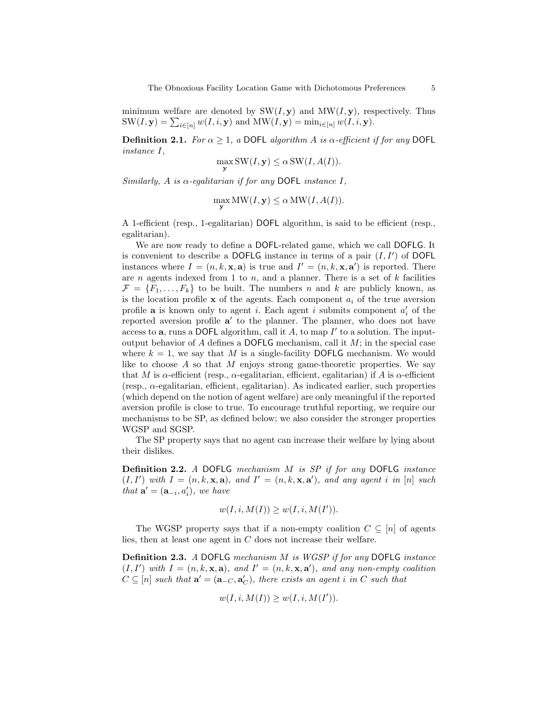minimum welfare are denoted by  $SW(I, y)$  and  $MW(I, y)$ , respectively. Thus  $\text{SW}(I, \mathbf{y}) = \sum_{i \in [n]} w(I, i, \mathbf{y})$  and  $\text{MW}(I, \mathbf{y}) = \min_{i \in [n]} w(I, i, \mathbf{y}).$ 

**Definition 2.1.** For  $\alpha \geq 1$ , a DOFL algorithm A is  $\alpha$ -efficient if for any DOFL instance I,

$$
\max_{\mathbf{y}} \text{SW}(I, \mathbf{y}) \le \alpha \, \text{SW}(I, A(I)).
$$

Similarly, A is  $\alpha$ -egalitarian if for any DOFL instance I,

$$
\max_{\mathbf{y}} \text{MW}(I, \mathbf{y}) \le \alpha \text{MW}(I, A(I)).
$$

A 1-efficient (resp., 1-egalitarian) DOFL algorithm, is said to be efficient (resp., egalitarian).

We are now ready to define a DOFL-related game, which we call DOFLG. It is convenient to describe a DOFLG instance in terms of a pair  $(I, I')$  of DOFL instances where  $I = (n, k, \mathbf{x}, \mathbf{a})$  is true and  $I' = (n, k, \mathbf{x}, \mathbf{a}')$  is reported. There are *n* agents indexed from 1 to *n*, and a planner. There is a set of  $k$  facilities  $\mathcal{F} = \{F_1, \ldots, F_k\}$  to be built. The numbers n and k are publicly known, as is the location profile  $x$  of the agents. Each component  $a_i$  of the true aversion profile **a** is known only to agent *i*. Each agent *i* submits component  $a'_i$  of the reported aversion profile  $a'$  to the planner. The planner, who does not have access to  $a$ , runs a DOFL algorithm, call it  $A$ , to map  $I'$  to a solution. The inputoutput behavior of  $A$  defines a DOFLG mechanism, call it  $M$ ; in the special case where  $k = 1$ , we say that M is a single-facility DOFLG mechanism. We would like to choose  $A$  so that  $M$  enjoys strong game-theoretic properties. We say that M is  $\alpha$ -efficient (resp.,  $\alpha$ -egalitarian, efficient, egalitarian) if A is  $\alpha$ -efficient (resp., α-egalitarian, efficient, egalitarian). As indicated earlier, such properties (which depend on the notion of agent welfare) are only meaningful if the reported aversion profile is close to true. To encourage truthful reporting, we require our mechanisms to be SP, as defined below; we also consider the stronger properties WGSP and SGSP.

The SP property says that no agent can increase their welfare by lying about their dislikes.

Definition 2.2. A DOFLG mechanism M is SP if for any DOFLG instance  $(I, I')$  with  $I = (n, k, \mathbf{x}, \mathbf{a})$ , and  $I' = (n, k, \mathbf{x}, \mathbf{a}')$ , and any agent i in [n] such that  $\mathbf{a}' = (\mathbf{a}_{-i}, a'_i)$ , we have

$$
w(I, i, M(I)) \ge w(I, i, M(I')).
$$

The WGSP property says that if a non-empty coalition  $C \subseteq [n]$  of agents lies, then at least one agent in C does not increase their welfare.

Definition 2.3. A DOFLG mechanism M is WGSP if for any DOFLG instance  $(I, I')$  with  $I = (n, k, \mathbf{x}, \mathbf{a})$ , and  $I' = (n, k, \mathbf{x}, \mathbf{a}')$ , and any non-empty coalition  $C \subseteq [n]$  such that  $\mathbf{a}' = (\mathbf{a}_{-C}, \mathbf{a}'_C)$ , there exists an agent i in C such that

$$
w(I, i, M(I)) \ge w(I, i, M(I')).
$$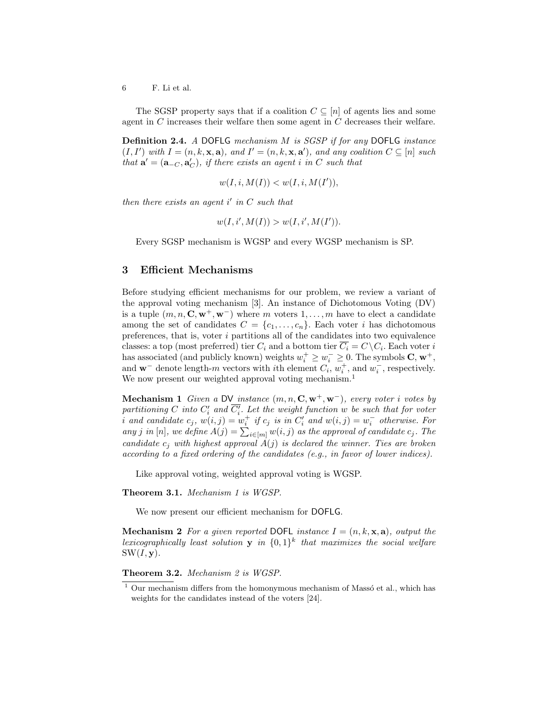The SGSP property says that if a coalition  $C \subseteq [n]$  of agents lies and some agent in C increases their welfare then some agent in C decreases their welfare.

Definition 2.4. A DOFLG mechanism M is SGSP if for any DOFLG instance  $(I, I')$  with  $I = (n, k, \mathbf{x}, \mathbf{a})$ , and  $I' = (n, k, \mathbf{x}, \mathbf{a}')$ , and any coalition  $C \subseteq [n]$  such that  $\mathbf{a}' = (\mathbf{a}_{-C}, \mathbf{a}'_C)$ , if there exists an agent i in C such that

$$
w(I, i, M(I)) < w(I, i, M(I')),
$$

then there exists an agent  $i'$  in  $C$  such that

$$
w(I, i', M(I)) > w(I, i', M(I')).
$$

Every SGSP mechanism is WGSP and every WGSP mechanism is SP.

### 3 Efficient Mechanisms

Before studying efficient mechanisms for our problem, we review a variant of the approval voting mechanism [3]. An instance of Dichotomous Voting (DV) is a tuple  $(m, n, \mathbf{C}, \mathbf{w}^+, \mathbf{w}^-)$  where m voters  $1, \ldots, m$  have to elect a candidate among the set of candidates  $C = \{c_1, \ldots, c_n\}$ . Each voter i has dichotomous preferences, that is, voter  $i$  partitions all of the candidates into two equivalence classes: a top (most preferred) tier  $C_i$  and a bottom tier  $\overline{C_i} = C \setminus C_i$ . Each voter i has associated (and publicly known) weights  $w_i^+ \geq w_i^- \geq 0$ . The symbols **C**,  $w^+$ , and  $\mathbf{w}^-$  denote length-m vectors with *i*th element  $C_i$ ,  $w_i^+$ , and  $w_i^-$ , respectively. We now present our weighted approval voting mechanism.<sup>1</sup>

Mechanism 1 Given a DV instance  $(m, n, C, w^+, w^-)$ , every voter i votes by partitioning C into  $C_i'$  and  $\overline{C_i'}$ . Let the weight function w be such that for voter i and candidate  $c_j$ ,  $w(i,j) = w_i^+$  if  $c_j$  is in  $C'_i$  and  $w(i,j) = w_i^-$  otherwise. For any j in  $[n]$ , we define  $A(j) = \sum_{i \in [m]} w(i, j)$  as the approval of candidate  $c_j$ . The candidate  $c_i$  with highest approval  $\vec{A}(j)$  is declared the winner. Ties are broken according to a fixed ordering of the candidates (e.g., in favor of lower indices).

Like approval voting, weighted approval voting is WGSP.

Theorem 3.1. Mechanism 1 is WGSP.

We now present our efficient mechanism for DOFLG.

**Mechanism 2** For a given reported DOFL instance  $I = (n, k, \mathbf{x}, \mathbf{a})$ , output the lexicographically least solution **y** in  $\{0,1\}^k$  that maximizes the social welfare  $SW(I, y)$ .

Theorem 3.2. Mechanism 2 is WGSP.

 $1$  Our mechanism differs from the homonymous mechanism of Massó et al., which has weights for the candidates instead of the voters [24].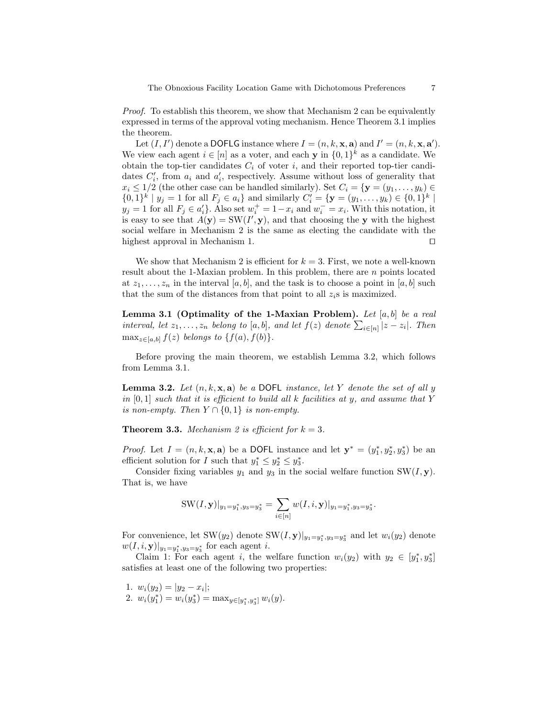Proof. To establish this theorem, we show that Mechanism 2 can be equivalently expressed in terms of the approval voting mechanism. Hence Theorem 3.1 implies the theorem.

Let  $(I, I')$  denote a DOFLG instance where  $I = (n, k, \mathbf{x}, \mathbf{a})$  and  $I' = (n, k, \mathbf{x}, \mathbf{a}')$ . We view each agent  $i \in [n]$  as a voter, and each y in  $\{0,1\}^k$  as a candidate. We obtain the top-tier candidates  $C_i$  of voter i, and their reported top-tier candidates  $C_i'$ , from  $a_i$  and  $a_i'$ , respectively. Assume without loss of generality that  $x_i \leq 1/2$  (the other case can be handled similarly). Set  $C_i = {\bf y} = (y_1, \ldots, y_k) \in$  $\{0,1\}^k | y_j = 1$  for all  $F_j \in a_i\}$  and similarly  $C'_i = \{ \mathbf{y} = (y_1, \dots, y_k) \in \{0,1\}^k |$  $y_j = 1$  for all  $F_j \in a'_i$ . Also set  $w_i^+ = 1 - x_i$  and  $w_i^- = x_i$ . With this notation, it is easy to see that  $A(\mathbf{y}) = \text{SW}(I', \mathbf{y})$ , and that choosing the y with the highest social welfare in Mechanism 2 is the same as electing the candidate with the highest approval in Mechanism 1.  $\Box$ 

We show that Mechanism 2 is efficient for  $k = 3$ . First, we note a well-known result about the 1-Maxian problem. In this problem, there are n points located at  $z_1, \ldots, z_n$  in the interval  $[a, b]$ , and the task is to choose a point in  $[a, b]$  such that the sum of the distances from that point to all  $z_i$ s is maximized.

Lemma 3.1 (Optimality of the 1-Maxian Problem). Let  $[a, b]$  be a real interval, let  $z_1, \ldots, z_n$  belong to [a, b], and let  $f(z)$  denote  $\sum_{i \in [n]} |z - z_i|$ . Then  $\max_{z \in [a,b]} f(z)$  belongs to  $\{f(a), f(b)\}.$ 

Before proving the main theorem, we establish Lemma 3.2, which follows from Lemma 3.1.

**Lemma 3.2.** Let  $(n, k, x, a)$  be a DOFL instance, let Y denote the set of all y in  $[0,1]$  such that it is efficient to build all k facilities at y, and assume that Y is non-empty. Then  $Y \cap \{0,1\}$  is non-empty.

**Theorem 3.3.** Mechanism 2 is efficient for  $k = 3$ .

*Proof.* Let  $I = (n, k, \mathbf{x}, \mathbf{a})$  be a DOFL instance and let  $\mathbf{y}^* = (y_1^*, y_2^*, y_3^*)$  be an efficient solution for I such that  $y_1^* \leq y_2^* \leq y_3^*$ .

Consider fixing variables  $y_1$  and  $y_3$  in the social welfare function SW( $I$ , y). That is, we have

SW
$$
(I, \mathbf{y})|_{y_1 = y_1^*, y_3 = y_3^*} = \sum_{i \in [n]} w(I, i, \mathbf{y})|_{y_1 = y_1^*, y_3 = y_3^*}.
$$

For convenience, let SW( $y_2$ ) denote SW( $I, \mathbf{y}$ )<sub> $|y_1=y_1^*, y_3=y_3^*$ </sub> and let  $w_i(y_2)$  denote  $w(I, i, y)|_{y_1 = y_1^*, y_3 = y_3^*}$  for each agent *i*.

Claim 1: For each agent i, the welfare function  $w_i(y_2)$  with  $y_2 \in [y_1^*, y_3^*]$ satisfies at least one of the following two properties:

- 1.  $w_i(y_2) = |y_2 x_i|;$
- 2.  $w_i(y_1^*) = w_i(y_3^*) = \max_{y \in [y_1^*, y_3^*]} w_i(y)$ .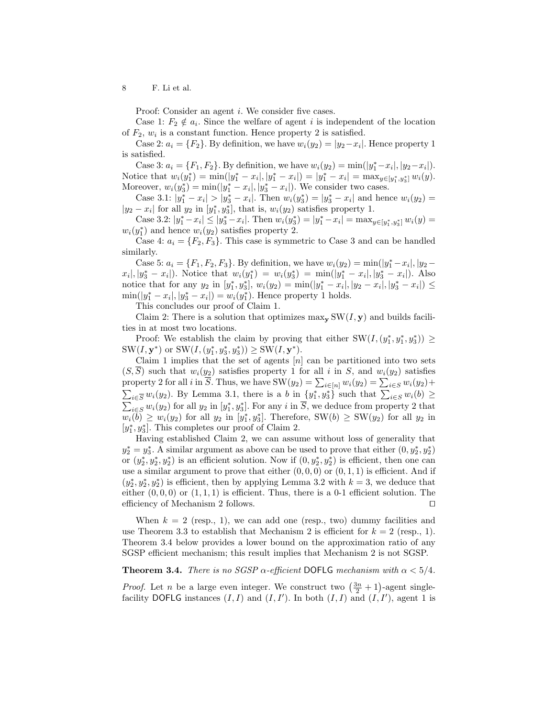Proof: Consider an agent *i*. We consider five cases.

Case 1:  $F_2 \notin a_i$ . Since the welfare of agent i is independent of the location of  $F_2$ ,  $w_i$  is a constant function. Hence property 2 is satisfied.

Case 2:  $a_i = \{F_2\}$ . By definition, we have  $w_i(y_2) = |y_2 - x_i|$ . Hence property 1 is satisfied.

Case 3:  $a_i = \{F_1, F_2\}$ . By definition, we have  $w_i(y_2) = \min(|y_1^* - x_i|, |y_2 - x_i|)$ . Notice that  $w_i(y_1^*) = \min(|y_1^* - x_i|, |y_1^* - x_i|) = |y_1^* - x_i| = \max_{y \in [y_1^*, y_3^*]} w_i(y)$ . Moreover,  $w_i(y_3^*) = \min(|y_1^* - x_i|, |y_3^* - x_i|)$ . We consider two cases.

Case 3.1:  $|y_1^* - x_1| > |y_3^* - x_1|$ . Then  $w_i(y_3^*) = |y_3^* - x_1|$  and hence  $w_i(y_2) =$  $|y_2 - x_i|$  for all  $y_2$  in  $[y_1^*, y_3^*]$ , that is,  $w_i(y_2)$  satisfies property 1.

Case 3.2:  $|y_1^* - x_1| \le |y_3^* - x_1|$ . Then  $w_i(y_3^*) = |y_1^* - x_1| = \max_{y \in [y_1^*, y_3^*]} w_i(y) =$  $w_i(y_1^*)$  and hence  $w_i(y_2)$  satisfies property 2.

Case 4:  $a_i = \{F_2, F_3\}$ . This case is symmetric to Case 3 and can be handled similarly.

Case 5:  $a_i = \{F_1, F_2, F_3\}$ . By definition, we have  $w_i(y_2) = \min(|y_1^* - x_i|, |y_2 - y_1|)$  $x_i|, |y_3^* - x_i|$ ). Notice that  $w_i(y_1^*) = w_i(y_3^*) = \min(|y_1^* - x_i|, |y_3^* - x_i|)$ . Also notice that for any  $y_2$  in  $[y_1^*, y_3^*]$ ,  $w_i(y_2) = \min(|y_1^* - x_i|, |y_2 - x_i|, |y_3^* - x_i|) \le$  $\min(|y_1^* - x_i|, |y_3^* - x_i|) = w_i(y_1^*)$ . Hence property 1 holds.

This concludes our proof of Claim 1.

Claim 2: There is a solution that optimizes  $\max_{\mathbf{y}} SW(I, \mathbf{y})$  and builds facilities in at most two locations.

Proof: We establish the claim by proving that either  $SW(I,(y_1^*,y_1^*,y_3^*)) \geq$ SW(I,  $y^*$ ) or SW(I,  $(y_1^*, y_3^*, y_3^*)$ )  $\geq$  SW(I,  $y^*$ ).

Claim 1 implies that the set of agents  $[n]$  can be partitioned into two sets  $(S,\overline{S})$  such that  $w_i(y_2)$  satisfies property 1 for all i in S, and  $w_i(y_2)$  satisfies property 2 for all *i* in  $\overline{S}$ . Thus, we have  $SW(y_2) = \sum_{i \in [n]} w_i(y_2) = \sum_{i \in S} w_i(y_2) +$  $\sum_{i\in \overline{S}} w_i(y_2)$ . By Lemma 3.1, there is a b in  $\{y_1^*, y_3^*\}$  such that  $\sum_{i\in S} w_i(b) \ge$  $\sum_{i\in S} w_i(y_2)$  for all  $y_2$  in  $[y_1^*, y_3^*]$ . For any i in  $\overline{S}$ , we deduce from property 2 that  $w_i(b) \geq w_i(y_2)$  for all  $y_2$  in  $[y_1^*, y_3^*]$ . Therefore, SW $(b) \geq SW(y_2)$  for all  $y_2$  in  $[y_1^*, y_3^*]$ . This completes our proof of Claim 2.

Having established Claim 2, we can assume without loss of generality that  $y_2^* = y_3^*$ . A similar argument as above can be used to prove that either  $(0, y_2^*, y_2^*)$ or  $(y_2^*, y_2^*, y_2^*)$  is an efficient solution. Now if  $(0, y_2^*, y_2^*)$  is efficient, then one can use a similar argument to prove that either  $(0, 0, 0)$  or  $(0, 1, 1)$  is efficient. And if  $(y_2^*, y_2^*, y_2^*)$  is efficient, then by applying Lemma 3.2 with  $k = 3$ , we deduce that either  $(0,0,0)$  or  $(1,1,1)$  is efficient. Thus, there is a 0-1 efficient solution. The efficiency of Mechanism 2 follows.  $\Box$ 

When  $k = 2$  (resp., 1), we can add one (resp., two) dummy facilities and use Theorem 3.3 to establish that Mechanism 2 is efficient for  $k = 2$  (resp., 1). Theorem 3.4 below provides a lower bound on the approximation ratio of any SGSP efficient mechanism; this result implies that Mechanism 2 is not SGSP.

### **Theorem 3.4.** There is no SGSP  $\alpha$ -efficient DOFLG mechanism with  $\alpha < 5/4$ .

*Proof.* Let *n* be a large even integer. We construct two  $\left(\frac{3n}{2} + 1\right)$ -agent singlefacility DOFLG instances  $(I, I)$  and  $(I, I')$ . In both  $(I, I)$  and  $(I, I')$ , agent 1 is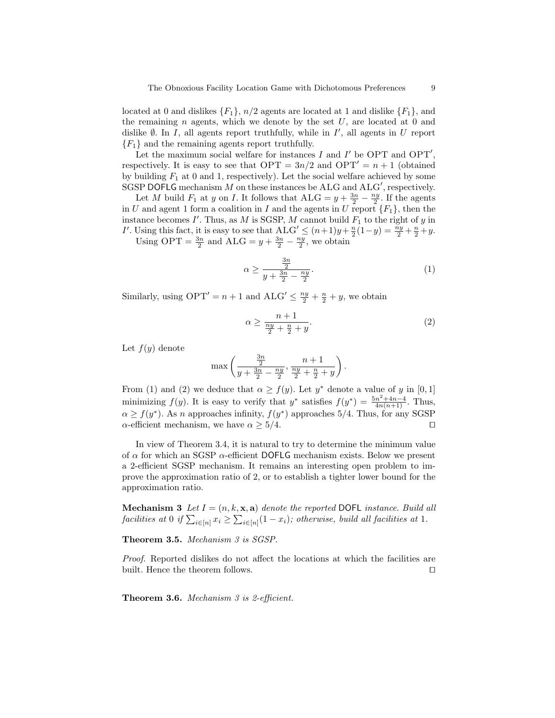located at 0 and dislikes  $\{F_1\}$ ,  $n/2$  agents are located at 1 and dislike  $\{F_1\}$ , and the remaining  $n$  agents, which we denote by the set  $U$ , are located at 0 and dislike  $\emptyset$ . In I, all agents report truthfully, while in I', all agents in U report  ${F_1}$  and the remaining agents report truthfully.

Let the maximum social welfare for instances  $I$  and  $I'$  be OPT and OPT', respectively. It is easy to see that  $\text{OPT} = 3n/2$  and  $\text{OPT}' = n + 1$  (obtained by building  $F_1$  at 0 and 1, respectively). Let the social welfare achieved by some SGSP DOFLG mechanism  $M$  on these instances be ALG and ALG', respectively.

Let M build  $F_1$  at y on I. It follows that  $ALG = y + \frac{3n}{2} - \frac{ny}{2}$ . If the agents in U and agent 1 form a coalition in I and the agents in U report  ${F_1}$ , then the instance becomes  $I'$ . Thus, as M is SGSP, M cannot build  $F_1$  to the right of y in I'. Using this fact, it is easy to see that  $ALG' \leq (n+1)y + \frac{n}{2}(1-y) = \frac{ny}{2} + \frac{n}{2} + y$ .

Using OPT =  $\frac{3n}{2}$  and ALG =  $y + \frac{3n}{2} - \frac{ny}{2}$ , we obtain

$$
\alpha \ge \frac{\frac{3n}{2}}{y + \frac{3n}{2} - \frac{ny}{2}}.\tag{1}
$$

Similarly, using  $\text{OPT}' = n + 1$  and  $\text{ALG}' \leq \frac{ny}{2} + \frac{n}{2} + y$ , we obtain

$$
\alpha \ge \frac{n+1}{\frac{ny}{2} + \frac{n}{2} + y}.\tag{2}
$$

Let  $f(y)$  denote

$$
\max\left(\frac{\frac{3n}{2}}{y+\frac{3n}{2}-\frac{ny}{2}}, \frac{n+1}{\frac{ny}{2}+\frac{n}{2}+y}\right).
$$

From (1) and (2) we deduce that  $\alpha \geq f(y)$ . Let  $y^*$  denote a value of y in [0, 1] minimizing  $f(y)$ . It is easy to verify that  $y^*$  satisfies  $f(y^*) = \frac{5n^2 + 4n - 4}{4n(n+1)}$ . Thus,  $\alpha \ge f(y^*)$ . As n approaches infinity,  $f(y^*)$  approaches 5/4. Thus, for any SGSP  $\alpha$ -efficient mechanism, we have  $\alpha \geq 5/4$ .

In view of Theorem 3.4, it is natural to try to determine the minimum value of  $\alpha$  for which an SGSP  $\alpha$ -efficient DOFLG mechanism exists. Below we present a 2-efficient SGSP mechanism. It remains an interesting open problem to improve the approximation ratio of 2, or to establish a tighter lower bound for the approximation ratio.

**Mechanism 3** Let  $I = (n, k, \mathbf{x}, \mathbf{a})$  denote the reported DOFL instance. Build all facilities at 0 if  $\sum_{i \in [n]} x_i \geq \sum_{i \in [n]} (1 - x_i)$ ; otherwise, build all facilities at 1.

Theorem 3.5. Mechanism 3 is SGSP.

Proof. Reported dislikes do not affect the locations at which the facilities are built. Hence the theorem follows.  $\Box$ 

Theorem 3.6. Mechanism 3 is 2-efficient.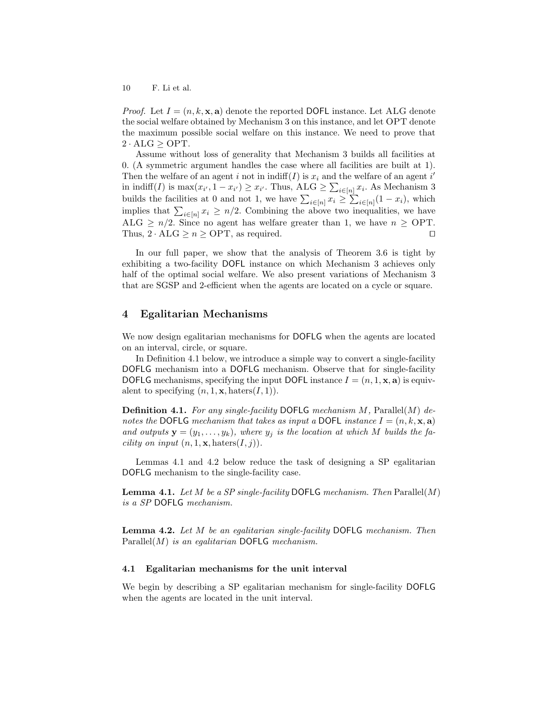*Proof.* Let  $I = (n, k, \mathbf{x}, \mathbf{a})$  denote the reported DOFL instance. Let ALG denote the social welfare obtained by Mechanism 3 on this instance, and let OPT denote the maximum possible social welfare on this instance. We need to prove that  $2 \cdot \text{ALG} \ge \text{OPT}$ .

Assume without loss of generality that Mechanism 3 builds all facilities at 0. (A symmetric argument handles the case where all facilities are built at 1). Then the welfare of an agent i not in  $\text{indiff}(I)$  is  $x_i$  and the welfare of an agent i' in indiff(*I*) is  $\max(x_{i'}, 1 - x_{i'}) \geq x_{i'}$ . Thus, ALG  $\geq \sum_{i \in [n]} x_i$ . As Mechanism 3 builds the facilities at 0 and not 1, we have  $\sum_{i\in[n]} x_i \geq \sum_{i\in[n]} (1-x_i)$ , which implies that  $\sum_{i\in[n]}x_i\geq n/2$ . Combining the above two inequalities, we have ALG  $\geq n/2$ . Since no agent has welfare greater than 1, we have  $n \geq \text{OPT}$ . Thus,  $2 \cdot \text{ALG} \ge n \ge \text{OPT}$ , as required.

In our full paper, we show that the analysis of Theorem 3.6 is tight by exhibiting a two-facility DOFL instance on which Mechanism 3 achieves only half of the optimal social welfare. We also present variations of Mechanism 3 that are SGSP and 2-efficient when the agents are located on a cycle or square.

# 4 Egalitarian Mechanisms

We now design egalitarian mechanisms for DOFLG when the agents are located on an interval, circle, or square.

In Definition 4.1 below, we introduce a simple way to convert a single-facility DOFLG mechanism into a DOFLG mechanism. Observe that for single-facility DOFLG mechanisms, specifying the input DOFL instance  $I = (n, 1, \mathbf{x}, \mathbf{a})$  is equivalent to specifying  $(n, 1, \mathbf{x}, \text{haters}(I, 1)).$ 

**Definition 4.1.** For any single-facility DOFLG mechanism M, Parallel(M) denotes the DOFLG mechanism that takes as input a DOFL instance  $I = (n, k, \mathbf{x}, \mathbf{a})$ and outputs  $\mathbf{y} = (y_1, \ldots, y_k)$ , where  $y_j$  is the location at which M builds the fa*cility on input*  $(n, 1, \mathbf{x}, \text{haters}(I, j)).$ 

Lemmas 4.1 and 4.2 below reduce the task of designing a SP egalitarian DOFLG mechanism to the single-facility case.

**Lemma 4.1.** Let M be a SP single-facility DOFLG mechanism. Then  $\text{Parallel}(M)$ is a SP DOFLG mechanism.

**Lemma 4.2.** Let M be an egalitarian single-facility DOFLG mechanism. Then  $Parallel(M)$  is an egalitarian DOFLG mechanism.

#### 4.1 Egalitarian mechanisms for the unit interval

We begin by describing a SP egalitarian mechanism for single-facility DOFLG when the agents are located in the unit interval.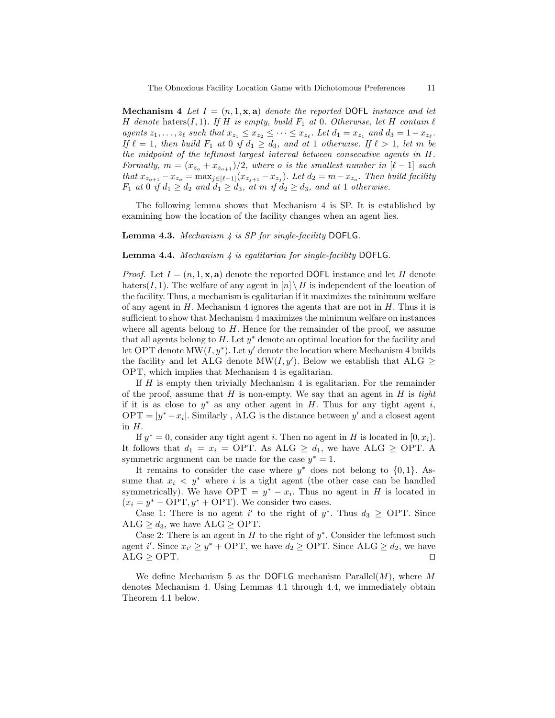**Mechanism 4** Let  $I = (n, 1, \mathbf{x}, \mathbf{a})$  denote the reported DOFL instance and let H denote haters $(I, 1)$ . If H is empty, build  $F_1$  at 0. Otherwise, let H contain  $\ell$ agents  $z_1, \ldots, z_\ell$  such that  $x_{z_1} \leq x_{z_2} \leq \cdots \leq x_{z_\ell}$ . Let  $d_1 = x_{z_1}$  and  $d_3 = 1-x_{z_\ell}$ . If  $\ell = 1$ , then build  $F_1$  at 0 if  $d_1 \geq d_3$ , and at 1 otherwise. If  $\ell > 1$ , let m be the midpoint of the leftmost largest interval between consecutive agents in H. Formally,  $m = (x_{z_o} + x_{z_{o+1}})/2$ , where o is the smallest number in  $[\ell - 1]$  such that  $x_{z_{o+1}} - x_{z_o} = \max_{j \in [\ell-1]} (x_{z_{j+1}} - x_{z_j})$ . Let  $d_2 = m - x_{z_o}$ . Then build facility  $F_1$  at 0 if  $d_1 \geq d_2$  and  $d_1 \geq d_3$ , at m if  $d_2 \geq d_3$ , and at 1 otherwise.

The following lemma shows that Mechanism 4 is SP. It is established by examining how the location of the facility changes when an agent lies.

#### **Lemma 4.3.** Mechanism  $4$  is SP for single-facility DOFLG.

#### **Lemma 4.4.** Mechanism  $\downarrow$  is egalitarian for single-facility DOFLG.

*Proof.* Let  $I = (n, 1, \mathbf{x}, \mathbf{a})$  denote the reported DOFL instance and let H denote haters(I, 1). The welfare of any agent in  $[n] \setminus H$  is independent of the location of the facility. Thus, a mechanism is egalitarian if it maximizes the minimum welfare of any agent in  $H$ . Mechanism 4 ignores the agents that are not in  $H$ . Thus it is sufficient to show that Mechanism 4 maximizes the minimum welfare on instances where all agents belong to  $H$ . Hence for the remainder of the proof, we assume that all agents belong to  $H$ . Let  $y^*$  denote an optimal location for the facility and let OPT denote  $MW(I, y^*)$ . Let y' denote the location where Mechanism 4 builds the facility and let ALG denote MW(I, y'). Below we establish that ALG  $\geq$ OPT, which implies that Mechanism 4 is egalitarian.

If  $H$  is empty then trivially Mechanism 4 is egalitarian. For the remainder of the proof, assume that  $H$  is non-empty. We say that an agent in  $H$  is tight if it is as close to  $y^*$  as any other agent in H. Thus for any tight agent i, OPT =  $|y^* - x_i|$ . Similarly, ALG is the distance between y' and a closest agent in  $H$ .

If  $y^* = 0$ , consider any tight agent *i*. Then no agent in *H* is located in [0,  $x_i$ ). It follows that  $d_1 = x_i = \text{OPT}$ . As ALG  $\geq d_1$ , we have ALG  $\geq$  OPT. A symmetric argument can be made for the case  $y^* = 1$ .

It remains to consider the case where  $y^*$  does not belong to  $\{0, 1\}$ . Assume that  $x_i \leq y^*$  where i is a tight agent (the other case can be handled symmetrically). We have  $\text{OPT} = y^* - x_i$ . Thus no agent in H is located in  $(x_i = y^* - \text{OPT}, y^* + \text{OPT})$ . We consider two cases.

Case 1: There is no agent i' to the right of  $y^*$ . Thus  $d_3 \geq$  OPT. Since ALG  $\geq d_3$ , we have ALG  $\geq$  OPT.

Case 2: There is an agent in  $H$  to the right of  $y^*$ . Consider the leftmost such agent i'. Since  $x_{i'} \geq y^* + \text{OPT}$ , we have  $d_2 \geq \text{OPT}$ . Since  $\text{ALG} \geq d_2$ , we have  $ALG \geq OPT.$ 

We define Mechanism 5 as the DOFLG mechanism Parallel $(M)$ , where M denotes Mechanism 4. Using Lemmas 4.1 through 4.4, we immediately obtain Theorem 4.1 below.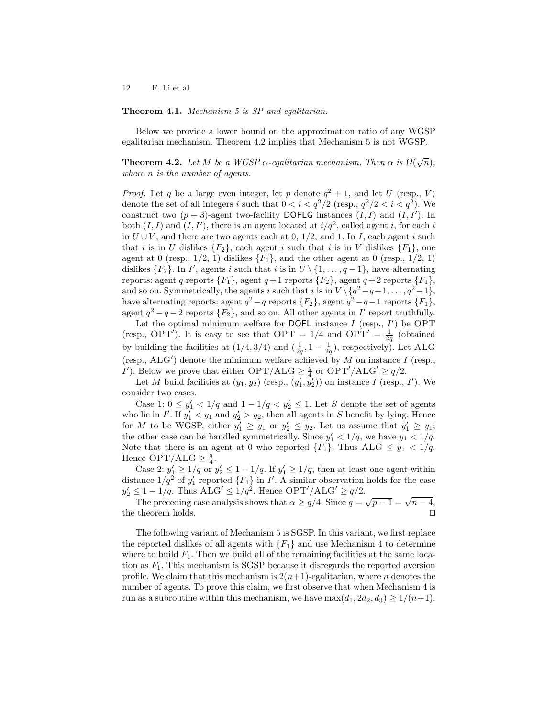### Theorem 4.1. Mechanism 5 is SP and egalitarian.

Below we provide a lower bound on the approximation ratio of any WGSP egalitarian mechanism. Theorem 4.2 implies that Mechanism 5 is not WGSP.

**Theorem 4.2.** Let M be a WGSP  $\alpha$ -egalitarian mechanism. Then  $\alpha$  is  $\Omega(\sqrt{n})$ , where n is the number of agents.

*Proof.* Let q be a large even integer, let p denote  $q^2 + 1$ , and let U (resp., V) denote the set of all integers i such that  $0 < i < q^2/2$  (resp.,  $q^2/2 < i < q^2$ ). We construct two  $(p+3)$ -agent two-facility DOFLG instances  $(I, I)$  and  $(I, I')$ . In both  $(I, I)$  and  $(I, I')$ , there is an agent located at  $i/q^2$ , called agent i, for each i in  $U \cup V$ , and there are two agents each at 0, 1/2, and 1. In I, each agent i such that i is in U dislikes  ${F_2}$ , each agent i such that i is in V dislikes  ${F_1}$ , one agent at 0 (resp.,  $1/2$ , 1) dislikes  ${F_1}$ , and the other agent at 0 (resp.,  $1/2$ , 1) dislikes  ${F_2}$ . In I', agents i such that i is in  $U \setminus \{1, \ldots, q-1\}$ , have alternating reports: agent q reports  $\{F_1\}$ , agent q + 1 reports  $\{F_2\}$ , agent q + 2 reports  $\{F_1\}$ , and so on. Symmetrically, the agents i such that i is in  $V \setminus \{q^2-q+1, \ldots, q^2-1\},$ have alternating reports: agent  $q^2 - q$  reports  $\{F_2\}$ , agent  $q^2 - q - 1$  reports  $\{F_1\}$ , agent  $q^2 - q - 2$  reports  $\{F_2\}$ , and so on. All other agents in  $I'$  report truthfully.

Let the optimal minimum welfare for DOFL instance  $I$  (resp.,  $I'$ ) be OPT (resp., OPT<sup>'</sup>). It is easy to see that OPT =  $1/4$  and OPT' =  $\frac{1}{2q}$  (obtained by building the facilities at  $(1/4, 3/4)$  and  $(\frac{1}{2q}, 1 - \frac{1}{2q})$ , respectively). Let ALG (resp.,  $\text{ALG}'$ ) denote the minimum welfare achieved by M on instance I (resp., I'). Below we prove that either  $\text{OPT}/\text{ALG} \geq \frac{q}{4}$  or  $\text{OPT}'/\text{ALG}' \geq q/2$ .

Let M build facilities at  $(y_1, y_2)$  (resp.,  $(y'_1, y'_2)$ ) on instance I (resp., I'). We consider two cases.

Case 1:  $0 \le y'_1 < 1/q$  and  $1 - 1/q < y'_2 \le 1$ . Let S denote the set of agents who lie in  $I'$ . If  $y_1' < y_1$  and  $y_2' > y_2$ , then all agents in S benefit by lying. Hence for M to be WGSP, either  $y'_1 \ge y_1$  or  $y'_2 \le y_2$ . Let us assume that  $y'_1 \ge y_1$ ; the other case can be handled symmetrically. Since  $y'_1 < 1/q$ , we have  $y_1 < 1/q$ . Note that there is an agent at 0 who reported  $\{F_1\}$ . Thus ALG  $\leq y_1 < 1/q$ . Hence  $\text{OPT}/\text{ALG} \geq \frac{q}{4}$ .

Case 2:  $y'_1 \geq 1/q$  or  $y'_2 \leq 1-1/q$ . If  $y'_1 \geq 1/q$ , then at least one agent within distance  $1/q^2$  of  $y'_1$  reported  $\{F_1\}$  in I'. A similar observation holds for the case  $y_2' \leq 1 - 1/q$ . Thus  $\text{ALG}' \leq 1/q^2$ . Hence  $\text{OPT}' / \text{ALG}' \geq q/2$ .

The preceding case analysis shows that  $\alpha \ge q/4$ . Since  $q = \sqrt{p-1} = \sqrt{n-4}$ , the theorem holds.  $\hfill\Box$ 

The following variant of Mechanism 5 is SGSP. In this variant, we first replace the reported dislikes of all agents with  ${F_1}$  and use Mechanism 4 to determine where to build  $F_1$ . Then we build all of the remaining facilities at the same location as  $F_1$ . This mechanism is SGSP because it disregards the reported aversion profile. We claim that this mechanism is  $2(n+1)$ -egalitarian, where n denotes the number of agents. To prove this claim, we first observe that when Mechanism 4 is run as a subroutine within this mechanism, we have  $\max(d_1, 2d_2, d_3) \geq 1/(n+1)$ .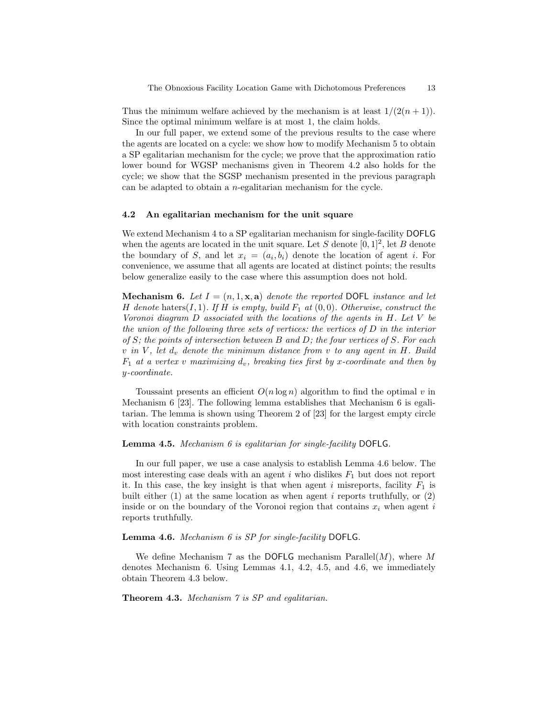Thus the minimum welfare achieved by the mechanism is at least  $1/(2(n+1))$ . Since the optimal minimum welfare is at most 1, the claim holds.

In our full paper, we extend some of the previous results to the case where the agents are located on a cycle: we show how to modify Mechanism 5 to obtain a SP egalitarian mechanism for the cycle; we prove that the approximation ratio lower bound for WGSP mechanisms given in Theorem 4.2 also holds for the cycle; we show that the SGSP mechanism presented in the previous paragraph can be adapted to obtain a n-egalitarian mechanism for the cycle.

#### 4.2 An egalitarian mechanism for the unit square

We extend Mechanism 4 to a SP egalitarian mechanism for single-facility DOFLG when the agents are located in the unit square. Let S denote  $[0, 1]^2$ , let B denote the boundary of S, and let  $x_i = (a_i, b_i)$  denote the location of agent i. For convenience, we assume that all agents are located at distinct points; the results below generalize easily to the case where this assumption does not hold.

**Mechanism 6.** Let  $I = (n, 1, \mathbf{x}, \mathbf{a})$  denote the reported DOFL instance and let H denote haters $(I, 1)$ . If H is empty, build  $F_1$  at  $(0, 0)$ . Otherwise, construct the Voronoi diagram  $D$  associated with the locations of the agents in  $H$ . Let  $V$  be the union of the following three sets of vertices: the vertices of D in the interior of  $S$ ; the points of intersection between  $B$  and  $D$ ; the four vertices of  $S$ . For each v in V, let  $d_v$  denote the minimum distance from v to any agent in H. Build  $F_1$  at a vertex v maximizing  $d_v$ , breaking ties first by x-coordinate and then by y-coordinate.

Toussaint presents an efficient  $O(n \log n)$  algorithm to find the optimal v in Mechanism 6 [23]. The following lemma establishes that Mechanism 6 is egalitarian. The lemma is shown using Theorem 2 of [23] for the largest empty circle with location constraints problem.

#### Lemma 4.5. Mechanism 6 is egalitarian for single-facility DOFLG.

In our full paper, we use a case analysis to establish Lemma 4.6 below. The most interesting case deals with an agent  $i$  who dislikes  $F_1$  but does not report it. In this case, the key insight is that when agent i misreports, facility  $F_1$  is built either  $(1)$  at the same location as when agent *i* reports truthfully, or  $(2)$ inside or on the boundary of the Voronoi region that contains  $x_i$  when agent i reports truthfully.

### Lemma 4.6. Mechanism 6 is SP for single-facility DOFLG.

We define Mechanism 7 as the DOFLG mechanism Parallel $(M)$ , where M denotes Mechanism 6. Using Lemmas 4.1, 4.2, 4.5, and 4.6, we immediately obtain Theorem 4.3 below.

Theorem 4.3. Mechanism 7 is SP and equilitarian.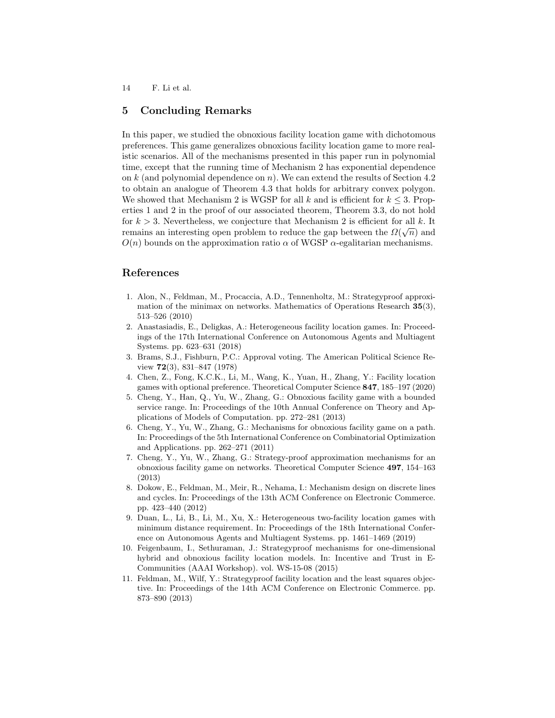# 5 Concluding Remarks

In this paper, we studied the obnoxious facility location game with dichotomous preferences. This game generalizes obnoxious facility location game to more realistic scenarios. All of the mechanisms presented in this paper run in polynomial time, except that the running time of Mechanism 2 has exponential dependence on  $k$  (and polynomial dependence on  $n$ ). We can extend the results of Section 4.2 to obtain an analogue of Theorem 4.3 that holds for arbitrary convex polygon. We showed that Mechanism 2 is WGSP for all k and is efficient for  $k \leq 3$ . Properties 1 and 2 in the proof of our associated theorem, Theorem 3.3, do not hold for  $k > 3$ . Nevertheless, we conjecture that Mechanism 2 is efficient for all k. It remains an interesting open problem to reduce the gap between the  $\Omega(\sqrt{n})$  and  $O(n)$  bounds on the approximation ratio  $\alpha$  of WGSP  $\alpha$ -egalitarian mechanisms.

# References

- 1. Alon, N., Feldman, M., Procaccia, A.D., Tennenholtz, M.: Strategyproof approximation of the minimax on networks. Mathematics of Operations Research 35(3), 513–526 (2010)
- 2. Anastasiadis, E., Deligkas, A.: Heterogeneous facility location games. In: Proceedings of the 17th International Conference on Autonomous Agents and Multiagent Systems. pp. 623–631 (2018)
- 3. Brams, S.J., Fishburn, P.C.: Approval voting. The American Political Science Review 72(3), 831–847 (1978)
- 4. Chen, Z., Fong, K.C.K., Li, M., Wang, K., Yuan, H., Zhang, Y.: Facility location games with optional preference. Theoretical Computer Science 847, 185–197 (2020)
- 5. Cheng, Y., Han, Q., Yu, W., Zhang, G.: Obnoxious facility game with a bounded service range. In: Proceedings of the 10th Annual Conference on Theory and Applications of Models of Computation. pp. 272–281 (2013)
- 6. Cheng, Y., Yu, W., Zhang, G.: Mechanisms for obnoxious facility game on a path. In: Proceedings of the 5th International Conference on Combinatorial Optimization and Applications. pp. 262–271 (2011)
- 7. Cheng, Y., Yu, W., Zhang, G.: Strategy-proof approximation mechanisms for an obnoxious facility game on networks. Theoretical Computer Science 497, 154–163 (2013)
- 8. Dokow, E., Feldman, M., Meir, R., Nehama, I.: Mechanism design on discrete lines and cycles. In: Proceedings of the 13th ACM Conference on Electronic Commerce. pp. 423–440 (2012)
- 9. Duan, L., Li, B., Li, M., Xu, X.: Heterogeneous two-facility location games with minimum distance requirement. In: Proceedings of the 18th International Conference on Autonomous Agents and Multiagent Systems. pp. 1461–1469 (2019)
- 10. Feigenbaum, I., Sethuraman, J.: Strategyproof mechanisms for one-dimensional hybrid and obnoxious facility location models. In: Incentive and Trust in E-Communities (AAAI Workshop). vol. WS-15-08 (2015)
- 11. Feldman, M., Wilf, Y.: Strategyproof facility location and the least squares objective. In: Proceedings of the 14th ACM Conference on Electronic Commerce. pp. 873–890 (2013)